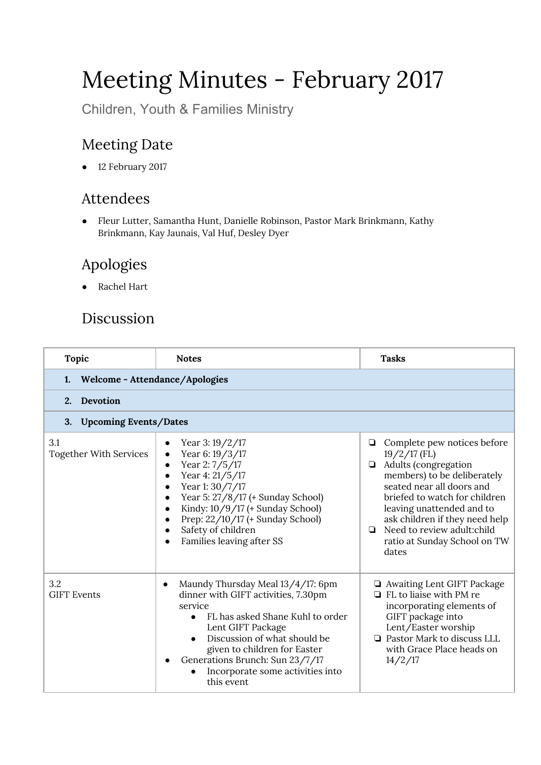# Meeting Minutes - February 2017

Children, Youth & Families Ministry

## Meeting Date

● 12 February 2017

#### Attendees

● Fleur Lutter, Samantha Hunt, Danielle Robinson, Pastor Mark Brinkmann, Kathy Brinkmann, Kay Jaunais, Val Huf, Desley Dyer

## Apologies

● Rachel Hart

### Discussion

| <b>Topic</b>                         | <b>Notes</b>                                                                                                                                                                                                                                                                                                                                                     | <b>Tasks</b>                                                                                                                                                                                                                                                                                                            |  |  |
|--------------------------------------|------------------------------------------------------------------------------------------------------------------------------------------------------------------------------------------------------------------------------------------------------------------------------------------------------------------------------------------------------------------|-------------------------------------------------------------------------------------------------------------------------------------------------------------------------------------------------------------------------------------------------------------------------------------------------------------------------|--|--|
| Welcome - Attendance/Apologies<br>1. |                                                                                                                                                                                                                                                                                                                                                                  |                                                                                                                                                                                                                                                                                                                         |  |  |
| Devotion<br>2.                       |                                                                                                                                                                                                                                                                                                                                                                  |                                                                                                                                                                                                                                                                                                                         |  |  |
| <b>Upcoming Events/Dates</b><br>3.   |                                                                                                                                                                                                                                                                                                                                                                  |                                                                                                                                                                                                                                                                                                                         |  |  |
| 3.1<br><b>Together With Services</b> | Year 3:19/2/17<br>Year 6: 19/3/17<br>$\bullet$<br>Year 2:7/5/17<br>$\bullet$<br>Year 4: 21/5/17<br>$\bullet$<br>Year 1: 30/7/17<br>$\bullet$<br>Year 5: 27/8/17 (+ Sunday School)<br>$\bullet$<br>Kindy: 10/9/17 (+ Sunday School)<br>$\bullet$<br>Prep: 22/10/17 (+ Sunday School)<br>$\bullet$<br>Safety of children<br>Families leaving after SS<br>$\bullet$ | Complete pew notices before<br>❏<br>$19/2/17$ (FL)<br>Adults (congregation<br>▫<br>members) to be deliberately<br>seated near all doors and<br>briefed to watch for children<br>leaving unattended and to<br>ask children if they need help<br>Need to review adult:child<br>◘<br>ratio at Sunday School on TW<br>dates |  |  |
| 3.2<br><b>GIFT Events</b>            | Maundy Thursday Meal 13/4/17: 6pm<br>$\bullet$<br>dinner with GIFT activities, 7.30pm<br>service<br>FL has asked Shane Kuhl to order<br>Lent GIFT Package<br>Discussion of what should be<br>given to children for Easter<br>Generations Brunch: Sun 23/7/17<br>Incorporate some activities into<br>this event                                                   | Awaiting Lent GIFT Package<br>$\Box$ FL to liaise with PM re<br>incorporating elements of<br>GIFT package into<br>Lent/Easter worship<br><b>Q</b> Pastor Mark to discuss LLL<br>with Grace Place heads on<br>14/2/17                                                                                                    |  |  |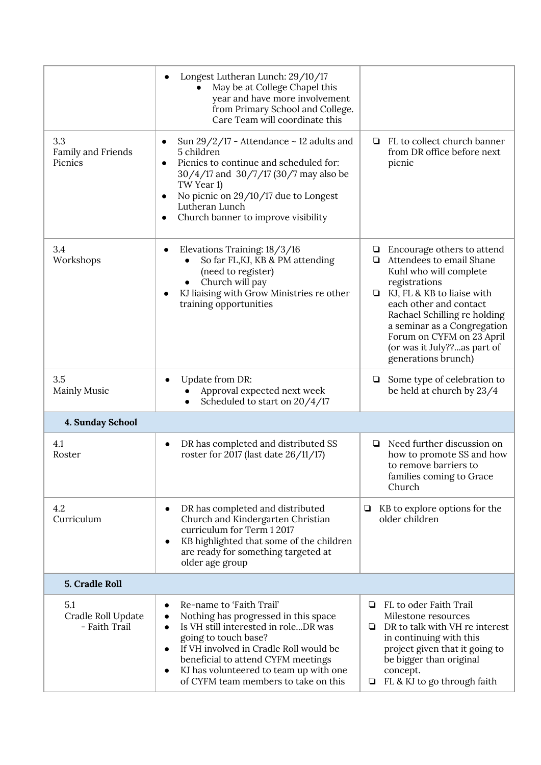|                                            | Longest Lutheran Lunch: 29/10/17<br>May be at College Chapel this<br>year and have more involvement<br>from Primary School and College.<br>Care Team will coordinate this                                                                                                                                                                                           |                                                                                                                                                                                                                                                                                                                              |
|--------------------------------------------|---------------------------------------------------------------------------------------------------------------------------------------------------------------------------------------------------------------------------------------------------------------------------------------------------------------------------------------------------------------------|------------------------------------------------------------------------------------------------------------------------------------------------------------------------------------------------------------------------------------------------------------------------------------------------------------------------------|
| 3.3<br>Family and Friends<br>Picnics       | Sun $29/2/17$ - Attendance $\sim$ 12 adults and<br>5 children<br>Picnics to continue and scheduled for:<br>30/4/17 and 30/7/17 (30/7 may also be<br>TW Year 1)<br>No picnic on 29/10/17 due to Longest<br>Lutheran Lunch<br>Church banner to improve visibility                                                                                                     | FL to collect church banner<br>❏<br>from DR office before next<br>picnic                                                                                                                                                                                                                                                     |
| 3.4<br>Workshops                           | Elevations Training: 18/3/16<br>$\bullet$<br>So far FL, KJ, KB & PM attending<br>(need to register)<br>Church will pay<br>KJ liaising with Grow Ministries re other<br>$\bullet$<br>training opportunities                                                                                                                                                          | Encourage others to attend<br>⊔<br>Attendees to email Shane<br>▫<br>Kuhl who will complete<br>registrations<br>$\Box$ KJ, FL & KB to liaise with<br>each other and contact<br>Rachael Schilling re holding<br>a seminar as a Congregation<br>Forum on CYFM on 23 April<br>(or was it July??as part of<br>generations brunch) |
| 3.5<br><b>Mainly Music</b>                 | Update from DR:<br>Approval expected next week<br>Scheduled to start on 20/4/17                                                                                                                                                                                                                                                                                     | Some type of celebration to<br>❏<br>be held at church by 23/4                                                                                                                                                                                                                                                                |
| 4. Sunday School                           |                                                                                                                                                                                                                                                                                                                                                                     |                                                                                                                                                                                                                                                                                                                              |
| 4.1<br>Roster                              | DR has completed and distributed SS<br>$\bullet$<br>roster for 2017 (last date 26/11/17)                                                                                                                                                                                                                                                                            | Need further discussion on<br>how to promote SS and how<br>to remove barriers to<br>families coming to Grace<br>Church                                                                                                                                                                                                       |
| 4.2<br>Curriculum                          | DR has completed and distributed<br>$\bullet$<br>Church and Kindergarten Christian<br>curriculum for Term 1 2017<br>KB highlighted that some of the children<br>$\bullet$<br>are ready for something targeted at<br>older age group                                                                                                                                 | KB to explore options for the<br>❏<br>older children                                                                                                                                                                                                                                                                         |
| 5. Cradle Roll                             |                                                                                                                                                                                                                                                                                                                                                                     |                                                                                                                                                                                                                                                                                                                              |
| 5.1<br>Cradle Roll Update<br>- Faith Trail | Re-name to 'Faith Trail'<br>$\bullet$<br>Nothing has progressed in this space<br>$\bullet$<br>Is VH still interested in roleDR was<br>$\bullet$<br>going to touch base?<br>If VH involved in Cradle Roll would be<br>$\bullet$<br>beneficial to attend CYFM meetings<br>KJ has volunteered to team up with one<br>$\bullet$<br>of CYFM team members to take on this | FL to oder Faith Trail<br>▫<br>Milestone resources<br>DR to talk with VH re interest<br>Q.<br>in continuing with this<br>project given that it going to<br>be bigger than original<br>concept.<br>FL & KJ to go through faith<br>❏                                                                                           |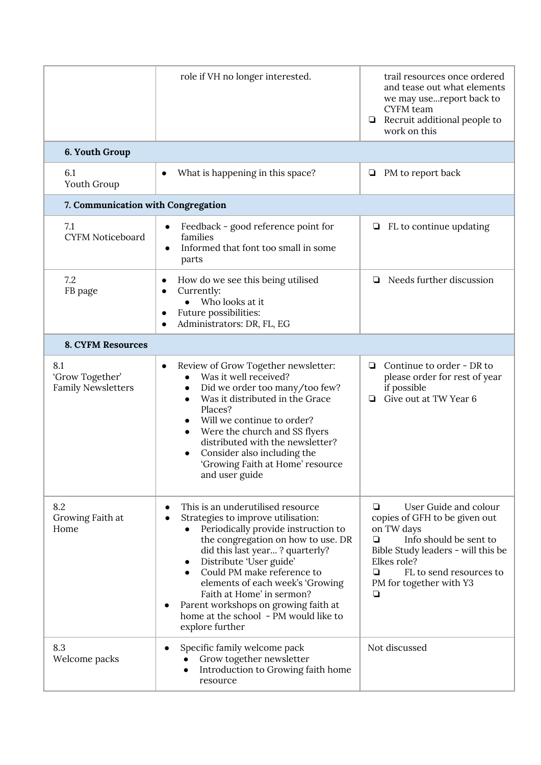|                                                     | role if VH no longer interested.                                                                                                                                                                                                                                                                                                                                                                                                               | trail resources once ordered<br>and tease out what elements<br>we may usereport back to<br><b>CYFM</b> team<br>Recruit additional people to<br>□<br>work on this                                                              |
|-----------------------------------------------------|------------------------------------------------------------------------------------------------------------------------------------------------------------------------------------------------------------------------------------------------------------------------------------------------------------------------------------------------------------------------------------------------------------------------------------------------|-------------------------------------------------------------------------------------------------------------------------------------------------------------------------------------------------------------------------------|
| 6. Youth Group                                      |                                                                                                                                                                                                                                                                                                                                                                                                                                                |                                                                                                                                                                                                                               |
| 6.1<br>Youth Group                                  | What is happening in this space?                                                                                                                                                                                                                                                                                                                                                                                                               | PM to report back<br>⊔                                                                                                                                                                                                        |
| 7. Communication with Congregation                  |                                                                                                                                                                                                                                                                                                                                                                                                                                                |                                                                                                                                                                                                                               |
| 7.1<br><b>CYFM Noticeboard</b>                      | Feedback - good reference point for<br>$\bullet$<br>families<br>Informed that font too small in some<br>$\bullet$<br>parts                                                                                                                                                                                                                                                                                                                     | FL to continue updating<br>О                                                                                                                                                                                                  |
| 7.2<br>FB page                                      | How do we see this being utilised<br>Currently:<br>$\bullet$<br>• Who looks at it<br>Future possibilities:<br>Administrators: DR, FL, EG                                                                                                                                                                                                                                                                                                       | Needs further discussion<br>❏                                                                                                                                                                                                 |
| <b>8. CYFM Resources</b>                            |                                                                                                                                                                                                                                                                                                                                                                                                                                                |                                                                                                                                                                                                                               |
| 8.1<br>'Grow Together'<br><b>Family Newsletters</b> | Review of Grow Together newsletter:<br>$\bullet$<br>Was it well received?<br>Did we order too many/too few?<br>Was it distributed in the Grace<br>Places?<br>Will we continue to order?<br>Were the church and SS flyers<br>distributed with the newsletter?<br>Consider also including the<br>'Growing Faith at Home' resource<br>and user guide                                                                                              | Continue to order - DR to<br>❏<br>please order for rest of year<br>if possible<br>Give out at TW Year 6<br>◘                                                                                                                  |
| 8.2<br>Growing Faith at<br>Home                     | This is an underutilised resource<br>$\bullet$<br>Strategies to improve utilisation:<br>$\bullet$<br>Periodically provide instruction to<br>the congregation on how to use. DR<br>did this last year? quarterly?<br>Distribute 'User guide'<br>Could PM make reference to<br>elements of each week's 'Growing<br>Faith at Home' in sermon?<br>Parent workshops on growing faith at<br>home at the school - PM would like to<br>explore further | User Guide and colour<br>❏<br>copies of GFH to be given out<br>on TW days<br>Info should be sent to<br>◘<br>Bible Study leaders - will this be<br>Elkes role?<br>FL to send resources to<br>❏<br>PM for together with Y3<br>❏ |
| 8.3<br>Welcome packs                                | Specific family welcome pack<br>$\bullet$<br>Grow together newsletter<br>Introduction to Growing faith home<br>$\bullet$<br>resource                                                                                                                                                                                                                                                                                                           | Not discussed                                                                                                                                                                                                                 |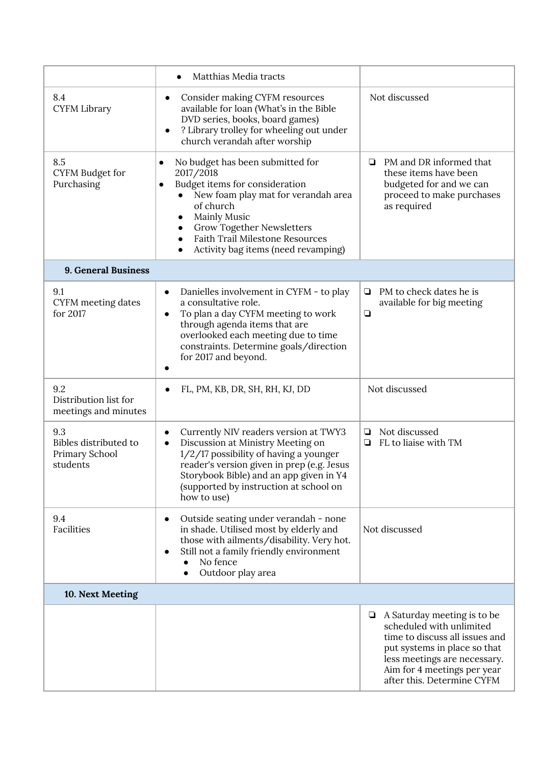|                                                            | Matthias Media tracts                                                                                                                                                                                                                                                                            |                                                                                                                                                                                                                             |
|------------------------------------------------------------|--------------------------------------------------------------------------------------------------------------------------------------------------------------------------------------------------------------------------------------------------------------------------------------------------|-----------------------------------------------------------------------------------------------------------------------------------------------------------------------------------------------------------------------------|
| 8.4<br><b>CYFM Library</b>                                 | Consider making CYFM resources<br>$\bullet$<br>available for loan (What's in the Bible<br>DVD series, books, board games)<br>? Library trolley for wheeling out under<br>$\bullet$<br>church verandah after worship                                                                              | Not discussed                                                                                                                                                                                                               |
| 8.5<br><b>CYFM Budget for</b><br>Purchasing                | No budget has been submitted for<br>2017/2018<br>Budget items for consideration<br>New foam play mat for verandah area<br>of church<br><b>Mainly Music</b><br><b>Grow Together Newsletters</b><br>$\bullet$<br><b>Faith Trail Milestone Resources</b><br>Activity bag items (need revamping)     | PM and DR informed that<br>▫<br>these items have been<br>budgeted for and we can<br>proceed to make purchases<br>as required                                                                                                |
| 9. General Business                                        |                                                                                                                                                                                                                                                                                                  |                                                                                                                                                                                                                             |
| 9.1<br>CYFM meeting dates<br>for 2017                      | Danielles involvement in CYFM - to play<br>$\bullet$<br>a consultative role.<br>To plan a day CYFM meeting to work<br>$\bullet$<br>through agenda items that are<br>overlooked each meeting due to time<br>constraints. Determine goals/direction<br>for 2017 and beyond.<br>$\bullet$           | PM to check dates he is<br>❏<br>available for big meeting<br>$\Box$                                                                                                                                                         |
| 9.2<br>Distribution list for<br>meetings and minutes       | FL, PM, KB, DR, SH, RH, KJ, DD                                                                                                                                                                                                                                                                   | Not discussed                                                                                                                                                                                                               |
| 9.3<br>Bibles distributed to<br>Primary School<br>students | Currently NIV readers version at TWY3<br>$\bullet$<br>Discussion at Ministry Meeting on<br>$\bullet$<br>1/2/17 possibility of having a younger<br>reader's version given in prep (e.g. Jesus<br>Storybook Bible) and an app given in Y4<br>(supported by instruction at school on<br>how to use) | Not discussed<br>❏<br>FL to liaise with TM<br>❏                                                                                                                                                                             |
| 9.4<br>Facilities                                          | Outside seating under verandah - none<br>$\bullet$<br>in shade. Utilised most by elderly and<br>those with ailments/disability. Very hot.<br>Still not a family friendly environment<br>$\bullet$<br>No fence<br>Outdoor play area<br>$\bullet$                                                  | Not discussed                                                                                                                                                                                                               |
| 10. Next Meeting                                           |                                                                                                                                                                                                                                                                                                  |                                                                                                                                                                                                                             |
|                                                            |                                                                                                                                                                                                                                                                                                  | A Saturday meeting is to be<br>❏<br>scheduled with unlimited<br>time to discuss all issues and<br>put systems in place so that<br>less meetings are necessary.<br>Aim for 4 meetings per year<br>after this. Determine CYFM |